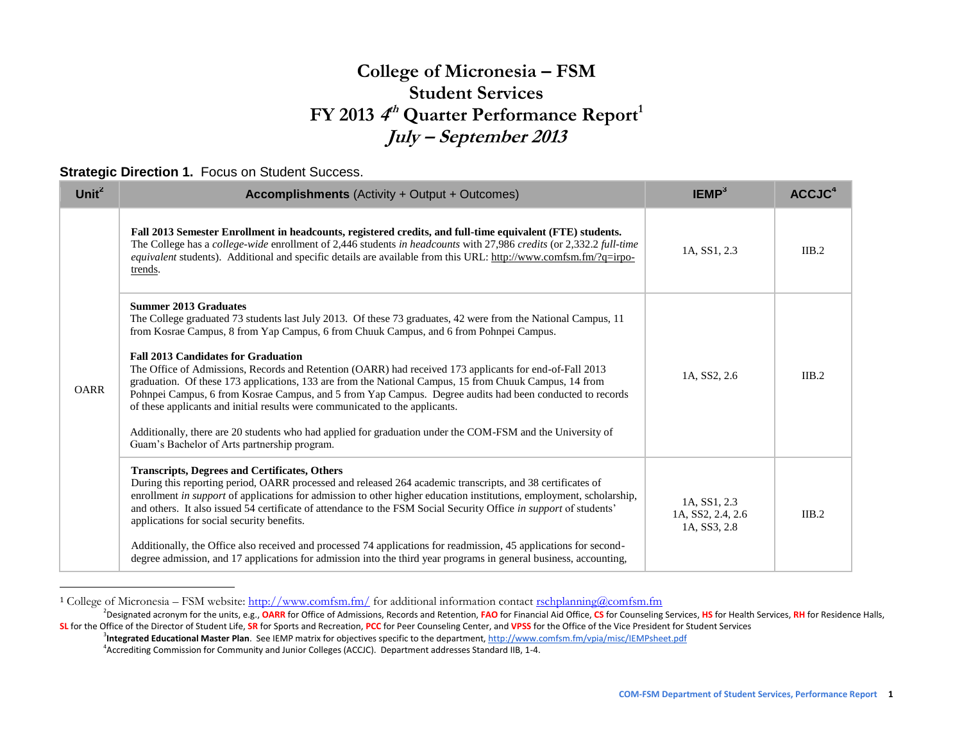# **College of Micronesia – FSM Student Services FY 2013 <sup>4</sup> th Quarter Performance Report<sup>1</sup> July – September 2013**

#### **Strategic Direction 1. Focus on Student Success.**

 $\overline{a}$ 

| Unit <sup>2</sup> | <b>Accomplishments (Activity + Output + Outcomes)</b>                                                                                                                                                                                                                                                                                                                                                                                                                                                                                                                                                                                                                                                                                                                                                                                                                | IEMP <sup>3</sup>                                 | ACCJC <sup>4</sup> |
|-------------------|----------------------------------------------------------------------------------------------------------------------------------------------------------------------------------------------------------------------------------------------------------------------------------------------------------------------------------------------------------------------------------------------------------------------------------------------------------------------------------------------------------------------------------------------------------------------------------------------------------------------------------------------------------------------------------------------------------------------------------------------------------------------------------------------------------------------------------------------------------------------|---------------------------------------------------|--------------------|
| <b>OARR</b>       | Fall 2013 Semester Enrollment in headcounts, registered credits, and full-time equivalent (FTE) students.<br>The College has a college-wide enrollment of 2,446 students in headcounts with 27,986 credits (or 2,332.2 full-time<br>equivalent students). Additional and specific details are available from this URL: http://www.comfsm.fm/?q=irpo-<br>trends.                                                                                                                                                                                                                                                                                                                                                                                                                                                                                                      | 1A, SS1, 2.3                                      | IIB.2              |
|                   | <b>Summer 2013 Graduates</b><br>The College graduated 73 students last July 2013. Of these 73 graduates, 42 were from the National Campus, 11<br>from Kosrae Campus, 8 from Yap Campus, 6 from Chuuk Campus, and 6 from Pohnpei Campus.<br><b>Fall 2013 Candidates for Graduation</b><br>The Office of Admissions, Records and Retention (OARR) had received 173 applicants for end-of-Fall 2013<br>graduation. Of these 173 applications, 133 are from the National Campus, 15 from Chuuk Campus, 14 from<br>Pohnpei Campus, 6 from Kosrae Campus, and 5 from Yap Campus. Degree audits had been conducted to records<br>of these applicants and initial results were communicated to the applicants.<br>Additionally, there are 20 students who had applied for graduation under the COM-FSM and the University of<br>Guam's Bachelor of Arts partnership program. | 1A, SS2, 2.6                                      | IIB.2              |
|                   | <b>Transcripts, Degrees and Certificates, Others</b><br>During this reporting period, OARR processed and released 264 academic transcripts, and 38 certificates of<br>enrollment in support of applications for admission to other higher education institutions, employment, scholarship,<br>and others. It also issued 54 certificate of attendance to the FSM Social Security Office in support of students'<br>applications for social security benefits.<br>Additionally, the Office also received and processed 74 applications for readmission, 45 applications for second-<br>degree admission, and 17 applications for admission into the third year programs in general business, accounting,                                                                                                                                                              | 1A, SS1, 2.3<br>1A, SS2, 2.4, 2.6<br>1A, SS3, 2.8 | IIB.2              |

<sup>1</sup> College of Micronesia – FSM website:<http://www.comfsm.fm/> for additional information contact [rschplanning@comfsm.fm](mailto:rschplanning@comfsm.fm)

4 Accrediting Commission for Community and Junior Colleges (ACCJC). Department addresses Standard IIB, 1-4.

<sup>&</sup>lt;sup>2</sup>Designated acronym for the units, e.g., OARR for Office of Admissions, Records and Retention, FAO for Financial Aid Office, CS for Counseling Services, HS for Health Services, RH for Residence Halls, **SL** for the Office of the Director of Student Life, **SR** for Sports and Recreation, **PCC** for Peer Counseling Center, and **VPSS** for the Office of the Vice President for Student Services

<sup>3</sup> **Integrated Educational Master Plan**. See IEMP matrix for objectives specific to the departmen[t,](http://www.comfsm.fm/vpia/misc/IEMPsheet.pdf) <http://www.comfsm.fm/vpia/misc/IEMPsheet.pdf>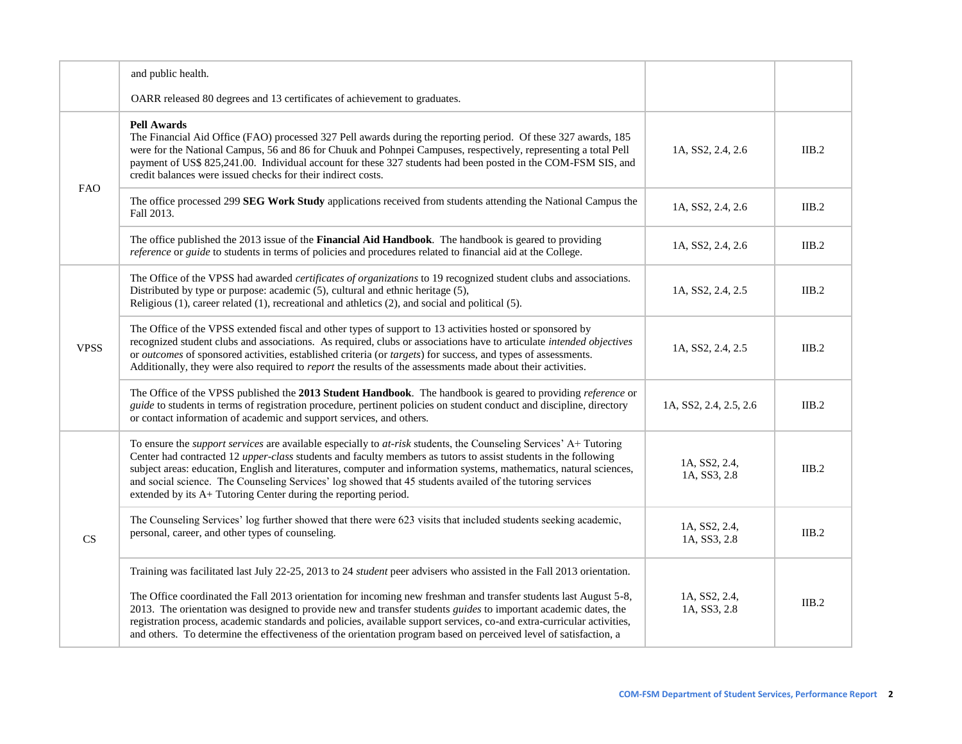|             | and public health.                                                                                                                                                                                                                                                                                                                                                                                                                                                                                                                                                                                                         |                               |       |
|-------------|----------------------------------------------------------------------------------------------------------------------------------------------------------------------------------------------------------------------------------------------------------------------------------------------------------------------------------------------------------------------------------------------------------------------------------------------------------------------------------------------------------------------------------------------------------------------------------------------------------------------------|-------------------------------|-------|
|             | OARR released 80 degrees and 13 certificates of achievement to graduates.                                                                                                                                                                                                                                                                                                                                                                                                                                                                                                                                                  |                               |       |
|             | <b>Pell Awards</b><br>The Financial Aid Office (FAO) processed 327 Pell awards during the reporting period. Of these 327 awards, 185<br>were for the National Campus, 56 and 86 for Chuuk and Pohnpei Campuses, respectively, representing a total Pell<br>payment of US\$ 825,241.00. Individual account for these 327 students had been posted in the COM-FSM SIS, and<br>credit balances were issued checks for their indirect costs.                                                                                                                                                                                   | 1A, SS2, 2.4, 2.6             | IIB.2 |
| <b>FAO</b>  | The office processed 299 SEG Work Study applications received from students attending the National Campus the<br>Fall 2013.                                                                                                                                                                                                                                                                                                                                                                                                                                                                                                | 1A, SS2, 2.4, 2.6             | IIB.2 |
|             | The office published the 2013 issue of the Financial Aid Handbook. The handbook is geared to providing<br>reference or guide to students in terms of policies and procedures related to financial aid at the College.                                                                                                                                                                                                                                                                                                                                                                                                      | 1A, SS2, 2.4, 2.6             | IIB.2 |
| <b>VPSS</b> | The Office of the VPSS had awarded <i>certificates of organizations</i> to 19 recognized student clubs and associations.<br>Distributed by type or purpose: academic $(5)$ , cultural and ethnic heritage $(5)$ ,<br>Religious (1), career related (1), recreational and athletics (2), and social and political (5).                                                                                                                                                                                                                                                                                                      | 1A, SS2, 2.4, 2.5             | IIB.2 |
|             | The Office of the VPSS extended fiscal and other types of support to 13 activities hosted or sponsored by<br>recognized student clubs and associations. As required, clubs or associations have to articulate intended objectives<br>or outcomes of sponsored activities, established criteria (or targets) for success, and types of assessments.<br>Additionally, they were also required to <i>report</i> the results of the assessments made about their activities.                                                                                                                                                   | 1A, SS2, 2.4, 2.5             | IIB.2 |
|             | The Office of the VPSS published the 2013 Student Handbook. The handbook is geared to providing reference or<br>guide to students in terms of registration procedure, pertinent policies on student conduct and discipline, directory<br>or contact information of academic and support services, and others.                                                                                                                                                                                                                                                                                                              | 1A, SS2, 2.4, 2.5, 2.6        | IIB.2 |
| CS          | To ensure the <i>support services</i> are available especially to <i>at-risk</i> students, the Counseling Services' A+ Tutoring<br>Center had contracted 12 upper-class students and faculty members as tutors to assist students in the following<br>subject areas: education, English and literatures, computer and information systems, mathematics, natural sciences,<br>and social science. The Counseling Services' log showed that 45 students availed of the tutoring services<br>extended by its A+ Tutoring Center during the reporting period.                                                                  | 1A, SS2, 2.4,<br>1A, SS3, 2.8 | IIB.2 |
|             | The Counseling Services' log further showed that there were 623 visits that included students seeking academic,<br>personal, career, and other types of counseling.                                                                                                                                                                                                                                                                                                                                                                                                                                                        | 1A, SS2, 2.4,<br>1A, SS3, 2.8 | IIB.2 |
|             | Training was facilitated last July 22-25, 2013 to 24 <i>student</i> peer advisers who assisted in the Fall 2013 orientation.<br>The Office coordinated the Fall 2013 orientation for incoming new freshman and transfer students last August 5-8,<br>2013. The orientation was designed to provide new and transfer students <i>guides</i> to important academic dates, the<br>registration process, academic standards and policies, available support services, co-and extra-curricular activities,<br>and others. To determine the effectiveness of the orientation program based on perceived level of satisfaction, a | 1A, SS2, 2.4,<br>1A, SS3, 2.8 | IIB.2 |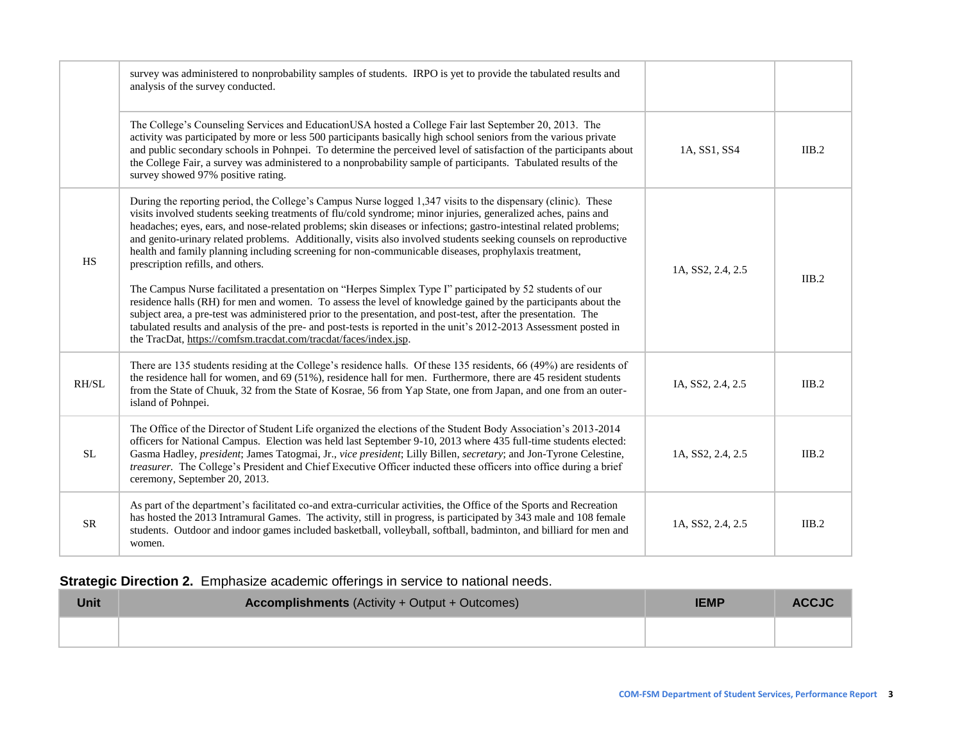|              | survey was administered to nonprobability samples of students. IRPO is yet to provide the tabulated results and<br>analysis of the survey conducted.                                                                                                                                                                                                                                                                                                                                                                                                                                                                                                                                                                                                                                                                                                                                                                                                                                                                                                                                                                                                               |                   |       |
|--------------|--------------------------------------------------------------------------------------------------------------------------------------------------------------------------------------------------------------------------------------------------------------------------------------------------------------------------------------------------------------------------------------------------------------------------------------------------------------------------------------------------------------------------------------------------------------------------------------------------------------------------------------------------------------------------------------------------------------------------------------------------------------------------------------------------------------------------------------------------------------------------------------------------------------------------------------------------------------------------------------------------------------------------------------------------------------------------------------------------------------------------------------------------------------------|-------------------|-------|
|              | The College's Counseling Services and Education USA hosted a College Fair last September 20, 2013. The<br>activity was participated by more or less 500 participants basically high school seniors from the various private<br>and public secondary schools in Pohnpei. To determine the perceived level of satisfaction of the participants about<br>the College Fair, a survey was administered to a nonprobability sample of participants. Tabulated results of the<br>survey showed 97% positive rating.                                                                                                                                                                                                                                                                                                                                                                                                                                                                                                                                                                                                                                                       | 1A, SS1, SS4      | IIB.2 |
| <b>HS</b>    | During the reporting period, the College's Campus Nurse logged 1,347 visits to the dispensary (clinic). These<br>visits involved students seeking treatments of flu/cold syndrome; minor injuries, generalized aches, pains and<br>headaches; eyes, ears, and nose-related problems; skin diseases or infections; gastro-intestinal related problems;<br>and genito-urinary related problems. Additionally, visits also involved students seeking counsels on reproductive<br>health and family planning including screening for non-communicable diseases, prophylaxis treatment,<br>prescription refills, and others.<br>The Campus Nurse facilitated a presentation on "Herpes Simplex Type I" participated by 52 students of our<br>residence halls (RH) for men and women. To assess the level of knowledge gained by the participants about the<br>subject area, a pre-test was administered prior to the presentation, and post-test, after the presentation. The<br>tabulated results and analysis of the pre- and post-tests is reported in the unit's 2012-2013 Assessment posted in<br>the TracDat, https://comfsm.tracdat.com/tracdat/faces/index.jsp. | 1A, SS2, 2.4, 2.5 | IIB.2 |
| <b>RH/SL</b> | There are 135 students residing at the College's residence halls. Of these 135 residents, 66 (49%) are residents of<br>the residence hall for women, and 69 (51%), residence hall for men. Furthermore, there are 45 resident students<br>from the State of Chuuk, 32 from the State of Kosrae, 56 from Yap State, one from Japan, and one from an outer-<br>island of Pohnpei.                                                                                                                                                                                                                                                                                                                                                                                                                                                                                                                                                                                                                                                                                                                                                                                    | IA, SS2, 2.4, 2.5 | IIB.2 |
| SL.          | The Office of the Director of Student Life organized the elections of the Student Body Association's 2013-2014<br>officers for National Campus. Election was held last September 9-10, 2013 where 435 full-time students elected:<br>Gasma Hadley, president; James Tatogmai, Jr., vice president; Lilly Billen, secretary; and Jon-Tyrone Celestine,<br>treasurer. The College's President and Chief Executive Officer inducted these officers into office during a brief<br>ceremony, September 20, 2013.                                                                                                                                                                                                                                                                                                                                                                                                                                                                                                                                                                                                                                                        | 1A, SS2, 2.4, 2.5 | IIB.2 |
| <b>SR</b>    | As part of the department's facilitated co-and extra-curricular activities, the Office of the Sports and Recreation<br>has hosted the 2013 Intramural Games. The activity, still in progress, is participated by 343 male and 108 female<br>students. Outdoor and indoor games included basketball, volleyball, softball, badminton, and billiard for men and<br>women.                                                                                                                                                                                                                                                                                                                                                                                                                                                                                                                                                                                                                                                                                                                                                                                            | 1A, SS2, 2.4, 2.5 | IIB.2 |

## **Strategic Direction 2.** Emphasize academic offerings in service to national needs.

| <b>Unit</b> | <b>Accomplishments (Activity + Output + Outcomes)</b> | <b>IEMP</b> | <b>ACCJC</b> |
|-------------|-------------------------------------------------------|-------------|--------------|
|             |                                                       |             |              |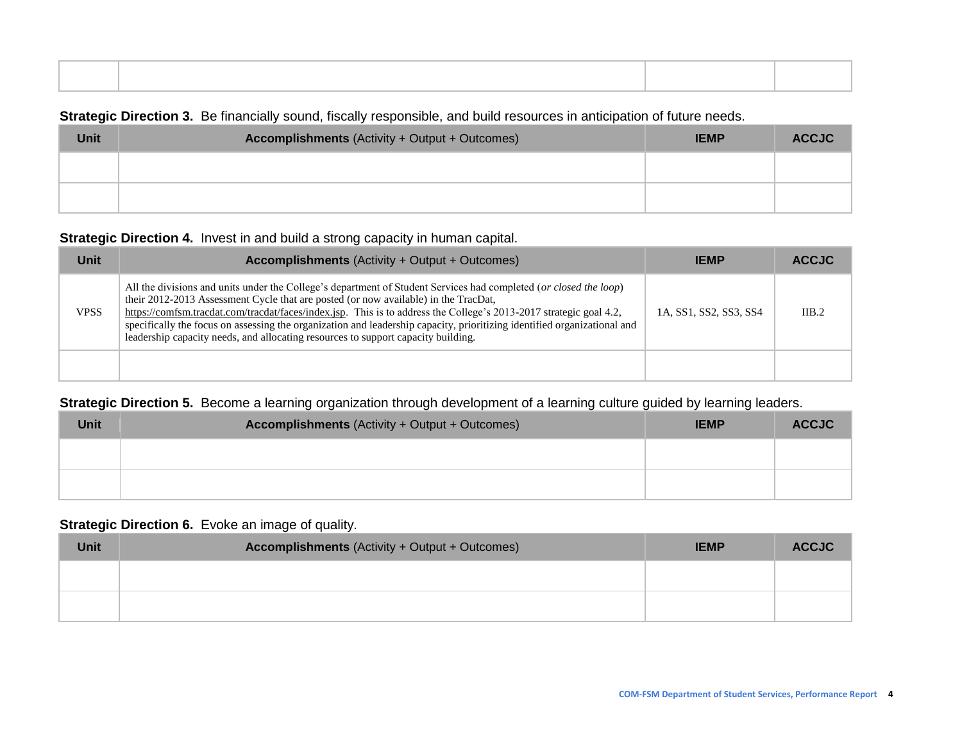### **Strategic Direction 3.** Be financially sound, fiscally responsible, and build resources in anticipation of future needs.

| <b>Unit</b> | <b>Accomplishments</b> (Activity + Output + Outcomes) | <b>IEMP</b> | <b>ACCJC</b> |
|-------------|-------------------------------------------------------|-------------|--------------|
|             |                                                       |             |              |
|             |                                                       |             |              |

#### **Strategic Direction 4.** Invest in and build a strong capacity in human capital.

| Unit        | <b>Accomplishments (Activity + Output + Outcomes)</b>                                                                                                                                                                                                                                                                                                                                                                                                                                                                                           | <b>IEMP</b>            | <b>ACCJC</b> |
|-------------|-------------------------------------------------------------------------------------------------------------------------------------------------------------------------------------------------------------------------------------------------------------------------------------------------------------------------------------------------------------------------------------------------------------------------------------------------------------------------------------------------------------------------------------------------|------------------------|--------------|
| <b>VPSS</b> | All the divisions and units under the College's department of Student Services had completed (or closed the loop)<br>their 2012-2013 Assessment Cycle that are posted (or now available) in the TracDat,<br>https://comfsm.tracdat.com/tracdat/faces/index.jsp. This is to address the College's 2013-2017 strategic goal 4.2,<br>specifically the focus on assessing the organization and leadership capacity, prioritizing identified organizational and<br>leadership capacity needs, and allocating resources to support capacity building. | 1A, SS1, SS2, SS3, SS4 | IIB.2        |
|             |                                                                                                                                                                                                                                                                                                                                                                                                                                                                                                                                                 |                        |              |

### **Strategic Direction 5.** Become a learning organization through development of a learning culture guided by learning leaders.

| <b>Unit</b> | <b>Accomplishments</b> (Activity + Output + Outcomes) | <b>IEMP</b> | <b>ACCJC</b> |
|-------------|-------------------------------------------------------|-------------|--------------|
|             |                                                       |             |              |
|             |                                                       |             |              |

### **Strategic Direction 6.** Evoke an image of quality.

| <b>Unit</b> | <b>Accomplishments</b> (Activity + Output + Outcomes) | <b>IEMP</b> | <b>ACCJC</b> |
|-------------|-------------------------------------------------------|-------------|--------------|
|             |                                                       |             |              |
|             |                                                       |             |              |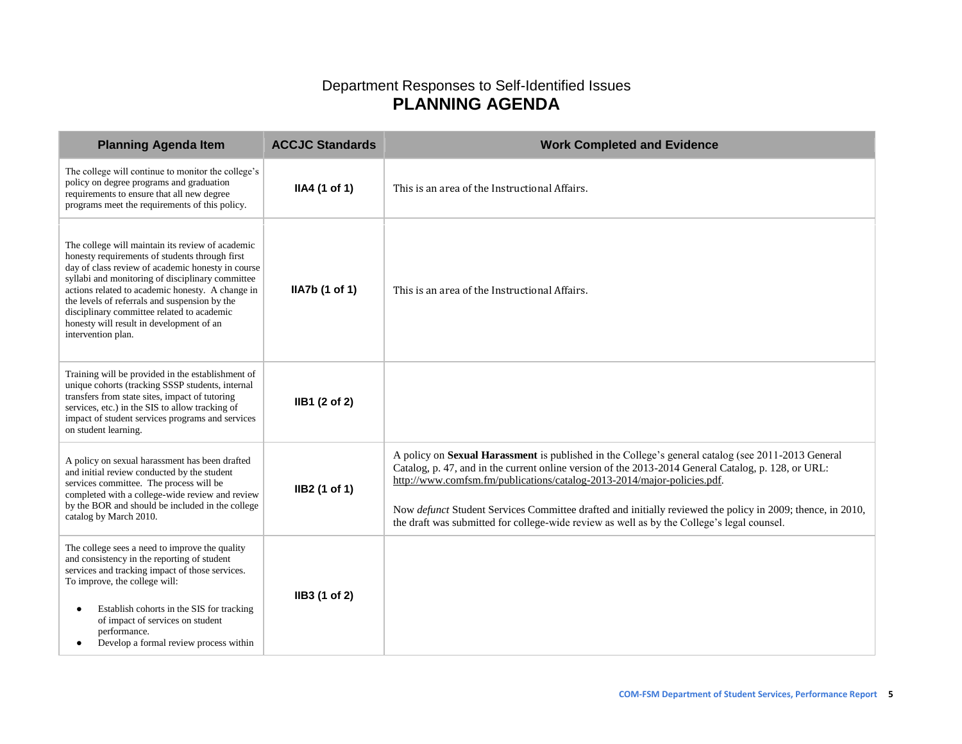## Department Responses to Self-Identified Issues **PLANNING AGENDA**

| <b>Planning Agenda Item</b>                                                                                                                                                                                                                                                                                                                                                                                                      | <b>ACCJC Standards</b> | <b>Work Completed and Evidence</b>                                                                                                                                                                                                                                                                                                                                                                                                                                                                      |
|----------------------------------------------------------------------------------------------------------------------------------------------------------------------------------------------------------------------------------------------------------------------------------------------------------------------------------------------------------------------------------------------------------------------------------|------------------------|---------------------------------------------------------------------------------------------------------------------------------------------------------------------------------------------------------------------------------------------------------------------------------------------------------------------------------------------------------------------------------------------------------------------------------------------------------------------------------------------------------|
| The college will continue to monitor the college's<br>policy on degree programs and graduation<br>requirements to ensure that all new degree<br>programs meet the requirements of this policy.                                                                                                                                                                                                                                   | IIA4 (1 of 1)          | This is an area of the Instructional Affairs.                                                                                                                                                                                                                                                                                                                                                                                                                                                           |
| The college will maintain its review of academic<br>honesty requirements of students through first<br>day of class review of academic honesty in course<br>syllabi and monitoring of disciplinary committee<br>actions related to academic honesty. A change in<br>the levels of referrals and suspension by the<br>disciplinary committee related to academic<br>honesty will result in development of an<br>intervention plan. | IIA7b (1 of 1)         | This is an area of the Instructional Affairs.                                                                                                                                                                                                                                                                                                                                                                                                                                                           |
| Training will be provided in the establishment of<br>unique cohorts (tracking SSSP students, internal<br>transfers from state sites, impact of tutoring<br>services, etc.) in the SIS to allow tracking of<br>impact of student services programs and services<br>on student learning.                                                                                                                                           | IIB1 (2 of 2)          |                                                                                                                                                                                                                                                                                                                                                                                                                                                                                                         |
| A policy on sexual harassment has been drafted<br>and initial review conducted by the student<br>services committee. The process will be<br>completed with a college-wide review and review<br>by the BOR and should be included in the college<br>catalog by March 2010.                                                                                                                                                        | IIB2 (1 of 1)          | A policy on Sexual Harassment is published in the College's general catalog (see 2011-2013 General<br>Catalog, p. 47, and in the current online version of the 2013-2014 General Catalog, p. 128, or URL:<br>http://www.comfsm.fm/publications/catalog-2013-2014/major-policies.pdf.<br>Now <i>defunct</i> Student Services Committee drafted and initially reviewed the policy in 2009; thence, in 2010,<br>the draft was submitted for college-wide review as well as by the College's legal counsel. |
| The college sees a need to improve the quality<br>and consistency in the reporting of student<br>services and tracking impact of those services.<br>To improve, the college will:<br>Establish cohorts in the SIS for tracking<br>$\bullet$<br>of impact of services on student<br>performance.<br>Develop a formal review process within<br>$\bullet$                                                                           | IIB3 (1 of 2)          |                                                                                                                                                                                                                                                                                                                                                                                                                                                                                                         |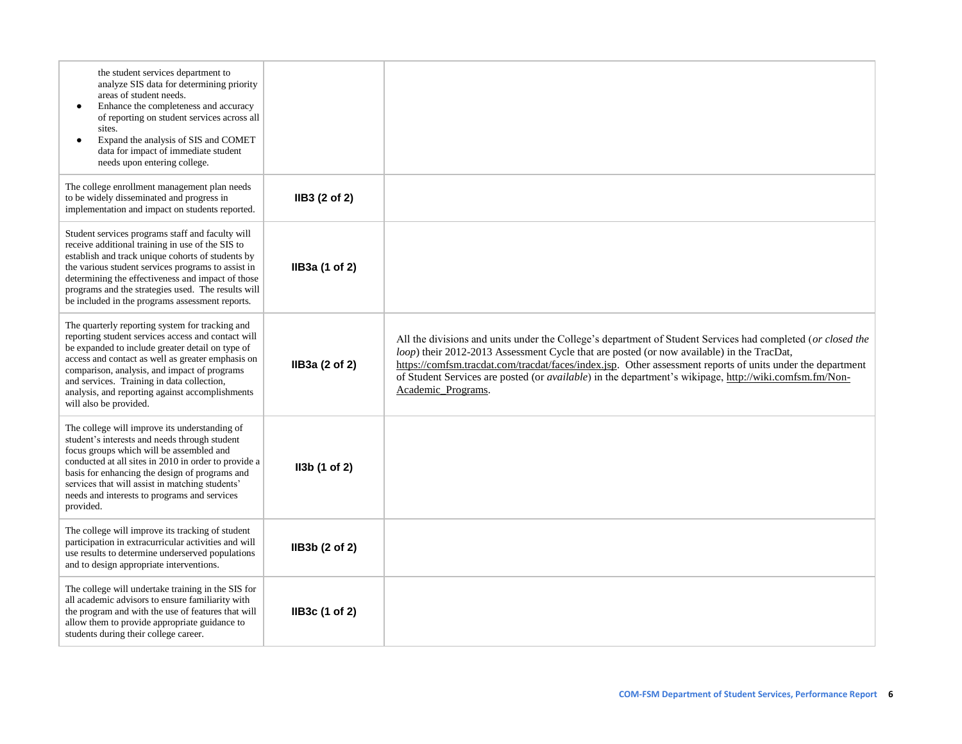| the student services department to<br>analyze SIS data for determining priority<br>areas of student needs.<br>Enhance the completeness and accuracy<br>of reporting on student services across all<br>sites.<br>Expand the analysis of SIS and COMET<br>data for impact of immediate student<br>needs upon entering college.                                                              |                |                                                                                                                                                                                                                                                                                                                                                                                                                                                                |
|-------------------------------------------------------------------------------------------------------------------------------------------------------------------------------------------------------------------------------------------------------------------------------------------------------------------------------------------------------------------------------------------|----------------|----------------------------------------------------------------------------------------------------------------------------------------------------------------------------------------------------------------------------------------------------------------------------------------------------------------------------------------------------------------------------------------------------------------------------------------------------------------|
| The college enrollment management plan needs<br>to be widely disseminated and progress in<br>implementation and impact on students reported.                                                                                                                                                                                                                                              | IIB3 (2 of 2)  |                                                                                                                                                                                                                                                                                                                                                                                                                                                                |
| Student services programs staff and faculty will<br>receive additional training in use of the SIS to<br>establish and track unique cohorts of students by<br>the various student services programs to assist in<br>determining the effectiveness and impact of those<br>programs and the strategies used. The results will<br>be included in the programs assessment reports.             | IIB3a (1 of 2) |                                                                                                                                                                                                                                                                                                                                                                                                                                                                |
| The quarterly reporting system for tracking and<br>reporting student services access and contact will<br>be expanded to include greater detail on type of<br>access and contact as well as greater emphasis on<br>comparison, analysis, and impact of programs<br>and services. Training in data collection,<br>analysis, and reporting against accomplishments<br>will also be provided. | IIB3a (2 of 2) | All the divisions and units under the College's department of Student Services had completed (or closed the<br>loop) their 2012-2013 Assessment Cycle that are posted (or now available) in the TracDat,<br>https://comfsm.tracdat.com/tracdat/faces/index.jsp. Other assessment reports of units under the department<br>of Student Services are posted (or <i>available</i> ) in the department's wikipage, http://wiki.comfsm.fm/Non-<br>Academic_Programs. |
| The college will improve its understanding of<br>student's interests and needs through student<br>focus groups which will be assembled and<br>conducted at all sites in 2010 in order to provide a<br>basis for enhancing the design of programs and<br>services that will assist in matching students'<br>needs and interests to programs and services<br>provided.                      | IJ3b(1 of 2)   |                                                                                                                                                                                                                                                                                                                                                                                                                                                                |
| The college will improve its tracking of student<br>participation in extracurricular activities and will<br>use results to determine underserved populations<br>and to design appropriate interventions.                                                                                                                                                                                  | IIB3b (2 of 2) |                                                                                                                                                                                                                                                                                                                                                                                                                                                                |
| The college will undertake training in the SIS for<br>all academic advisors to ensure familiarity with<br>the program and with the use of features that will<br>allow them to provide appropriate guidance to<br>students during their college career.                                                                                                                                    | IIB3c (1 of 2) |                                                                                                                                                                                                                                                                                                                                                                                                                                                                |